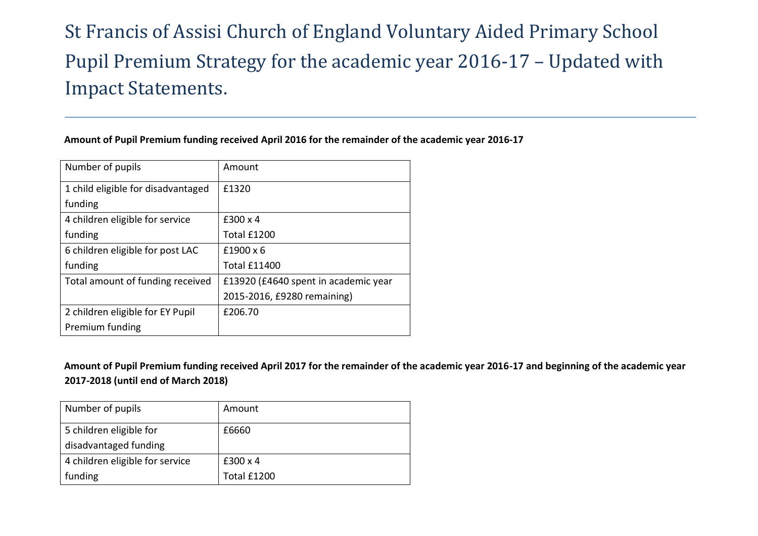# St Francis of Assisi Church of England Voluntary Aided Primary School Pupil Premium Strategy for the academic year 2016-17 – Updated with Impact Statements.

### **Amount of Pupil Premium funding received April 2016 for the remainder of the academic year 2016-17**

| Number of pupils                   | Amount                               |
|------------------------------------|--------------------------------------|
| 1 child eligible for disadvantaged | f1320                                |
| funding                            |                                      |
| 4 children eligible for service    | $£300 \times 4$                      |
| funding                            | Total £1200                          |
| 6 children eligible for post LAC   | $f1900 \times 6$                     |
| funding                            | <b>Total £11400</b>                  |
| Total amount of funding received   | £13920 (£4640 spent in academic year |
|                                    | 2015-2016, £9280 remaining)          |
| 2 children eligible for EY Pupil   | £206.70                              |
| Premium funding                    |                                      |

**Amount of Pupil Premium funding received April 2017 for the remainder of the academic year 2016-17 and beginning of the academic year 2017-2018 (until end of March 2018)**

| Number of pupils                | Amount      |
|---------------------------------|-------------|
| 5 children eligible for         | £6660       |
| disadvantaged funding           |             |
| 4 children eligible for service | £300 x 4    |
| funding                         | Total £1200 |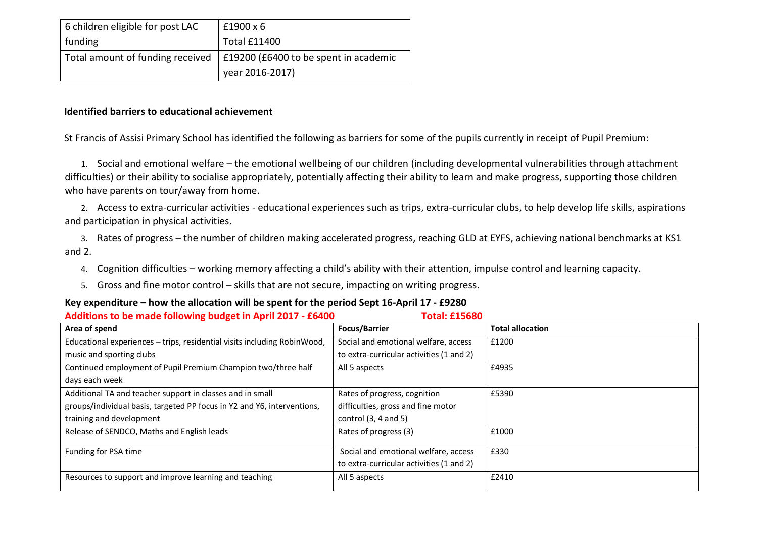| 6 children eligible for post LAC | $£1900 \times 6$                                                           |
|----------------------------------|----------------------------------------------------------------------------|
| funding                          | <b>Total £11400</b>                                                        |
|                                  | Total amount of funding received   $£19200$ (£6400 to be spent in academic |
|                                  | year 2016-2017)                                                            |

### **Identified barriers to educational achievement**

St Francis of Assisi Primary School has identified the following as barriers for some of the pupils currently in receipt of Pupil Premium:

1. Social and emotional welfare – the emotional wellbeing of our children (including developmental vulnerabilities through attachment difficulties) or their ability to socialise appropriately, potentially affecting their ability to learn and make progress, supporting those children who have parents on tour/away from home.

2. Access to extra-curricular activities - educational experiences such as trips, extra-curricular clubs, to help develop life skills, aspirations and participation in physical activities.

3. Rates of progress – the number of children making accelerated progress, reaching GLD at EYFS, achieving national benchmarks at KS1 and 2.

- 4. Cognition difficulties working memory affecting a child's ability with their attention, impulse control and learning capacity.
- 5. Gross and fine motor control skills that are not secure, impacting on writing progress.

#### **Key expenditure – how the allocation will be spent for the period Sept 16-April 17 - £9280**

| Additions to be made following budget in April 2017 - £6400<br><b>Total: £15680</b> |                                          |                         |
|-------------------------------------------------------------------------------------|------------------------------------------|-------------------------|
| Area of spend                                                                       | <b>Focus/Barrier</b>                     | <b>Total allocation</b> |
| Educational experiences - trips, residential visits including RobinWood,            | Social and emotional welfare, access     | £1200                   |
| music and sporting clubs                                                            | to extra-curricular activities (1 and 2) |                         |
| Continued employment of Pupil Premium Champion two/three half                       | All 5 aspects                            | £4935                   |
| days each week                                                                      |                                          |                         |
| Additional TA and teacher support in classes and in small                           | Rates of progress, cognition             | £5390                   |
| groups/individual basis, targeted PP focus in Y2 and Y6, interventions,             | difficulties, gross and fine motor       |                         |
| training and development                                                            | control $(3, 4$ and $5)$                 |                         |
| Release of SENDCO, Maths and English leads                                          | Rates of progress (3)                    | £1000                   |
| Funding for PSA time                                                                | Social and emotional welfare, access     | £330                    |
|                                                                                     | to extra-curricular activities (1 and 2) |                         |
| Resources to support and improve learning and teaching                              | All 5 aspects                            | £2410                   |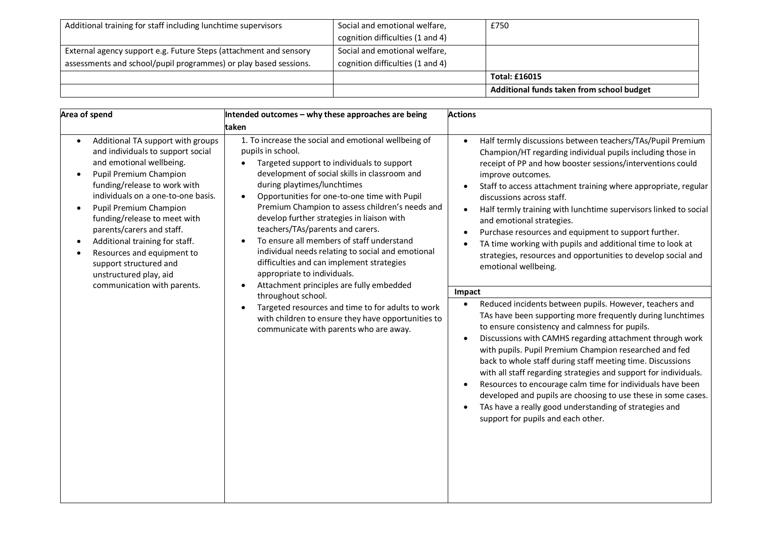| Additional training for staff including lunchtime supervisors     | Social and emotional welfare,    | £750                                      |
|-------------------------------------------------------------------|----------------------------------|-------------------------------------------|
|                                                                   | cognition difficulties (1 and 4) |                                           |
| External agency support e.g. Future Steps (attachment and sensory | Social and emotional welfare,    |                                           |
| assessments and school/pupil programmes) or play based sessions.  | cognition difficulties (1 and 4) |                                           |
|                                                                   |                                  | <b>Total: £16015</b>                      |
|                                                                   |                                  | Additional funds taken from school budget |

| Area of spend                                                                                                                                                                                                                                                                                                                                                                                                                                       | Intended outcomes - why these approaches are being                                                                                                                                                                                                                                                                                                                                                                                                                                                                                                                                                                                                                                                                                                                                                | <b>Actions</b>                                                                                                                                                                                                                                                                                                                                                                                                                                                                                                                                                                                                                                                                                                                                                                                                                                                                                                                                                                                                                                                                                                                                                                                                                                                                                                                                                          |
|-----------------------------------------------------------------------------------------------------------------------------------------------------------------------------------------------------------------------------------------------------------------------------------------------------------------------------------------------------------------------------------------------------------------------------------------------------|---------------------------------------------------------------------------------------------------------------------------------------------------------------------------------------------------------------------------------------------------------------------------------------------------------------------------------------------------------------------------------------------------------------------------------------------------------------------------------------------------------------------------------------------------------------------------------------------------------------------------------------------------------------------------------------------------------------------------------------------------------------------------------------------------|-------------------------------------------------------------------------------------------------------------------------------------------------------------------------------------------------------------------------------------------------------------------------------------------------------------------------------------------------------------------------------------------------------------------------------------------------------------------------------------------------------------------------------------------------------------------------------------------------------------------------------------------------------------------------------------------------------------------------------------------------------------------------------------------------------------------------------------------------------------------------------------------------------------------------------------------------------------------------------------------------------------------------------------------------------------------------------------------------------------------------------------------------------------------------------------------------------------------------------------------------------------------------------------------------------------------------------------------------------------------------|
|                                                                                                                                                                                                                                                                                                                                                                                                                                                     | taken                                                                                                                                                                                                                                                                                                                                                                                                                                                                                                                                                                                                                                                                                                                                                                                             |                                                                                                                                                                                                                                                                                                                                                                                                                                                                                                                                                                                                                                                                                                                                                                                                                                                                                                                                                                                                                                                                                                                                                                                                                                                                                                                                                                         |
| Additional TA support with groups<br>and individuals to support social<br>and emotional wellbeing.<br>Pupil Premium Champion<br>funding/release to work with<br>individuals on a one-to-one basis.<br><b>Pupil Premium Champion</b><br>funding/release to meet with<br>parents/carers and staff.<br>Additional training for staff.<br>Resources and equipment to<br>support structured and<br>unstructured play, aid<br>communication with parents. | 1. To increase the social and emotional wellbeing of<br>pupils in school.<br>Targeted support to individuals to support<br>development of social skills in classroom and<br>during playtimes/lunchtimes<br>Opportunities for one-to-one time with Pupil<br>Premium Champion to assess children's needs and<br>develop further strategies in liaison with<br>teachers/TAs/parents and carers.<br>To ensure all members of staff understand<br>individual needs relating to social and emotional<br>difficulties and can implement strategies<br>appropriate to individuals.<br>Attachment principles are fully embedded<br>throughout school.<br>Targeted resources and time to for adults to work<br>with children to ensure they have opportunities to<br>communicate with parents who are away. | Half termly discussions between teachers/TAs/Pupil Premium<br>$\bullet$<br>Champion/HT regarding individual pupils including those in<br>receipt of PP and how booster sessions/interventions could<br>improve outcomes.<br>Staff to access attachment training where appropriate, regular<br>$\bullet$<br>discussions across staff.<br>Half termly training with lunchtime supervisors linked to social<br>$\bullet$<br>and emotional strategies.<br>Purchase resources and equipment to support further.<br>TA time working with pupils and additional time to look at<br>strategies, resources and opportunities to develop social and<br>emotional wellbeing.<br>Impact<br>Reduced incidents between pupils. However, teachers and<br>$\bullet$<br>TAs have been supporting more frequently during lunchtimes<br>to ensure consistency and calmness for pupils.<br>Discussions with CAMHS regarding attachment through work<br>with pupils. Pupil Premium Champion researched and fed<br>back to whole staff during staff meeting time. Discussions<br>with all staff regarding strategies and support for individuals.<br>Resources to encourage calm time for individuals have been<br>$\bullet$<br>developed and pupils are choosing to use these in some cases.<br>TAs have a really good understanding of strategies and<br>support for pupils and each other. |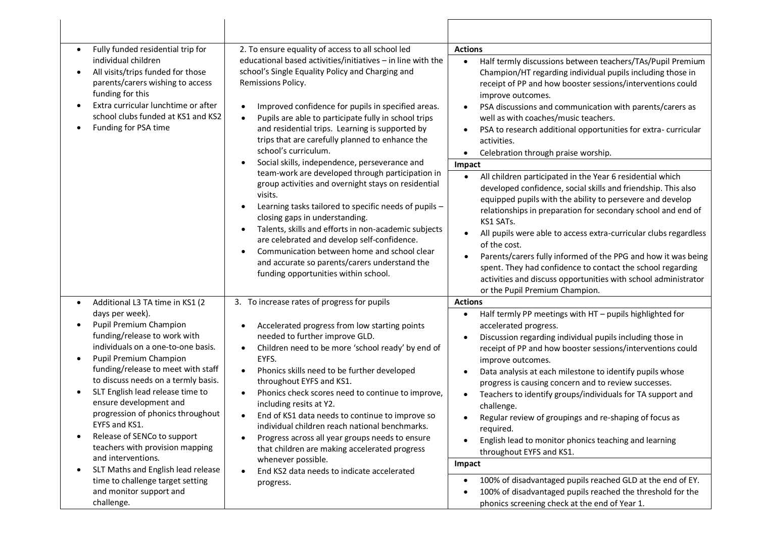| Fully funded residential trip for                                                                                                                                                                                                                                                                                                                                                                                                  | 2. To ensure equality of access to all school led                                                                                                                                                                                                                                                                                                                                                                                                                                                                                                                                                                                                                                                                                                                                                                                                                                                                                                                   | <b>Actions</b>                                                                                                                                                                                                                                                                                                                                                                                                                                                                                                                                                                                                                                                                                                                                                                                                                                                                                                                                                                                                                                                                                                                |
|------------------------------------------------------------------------------------------------------------------------------------------------------------------------------------------------------------------------------------------------------------------------------------------------------------------------------------------------------------------------------------------------------------------------------------|---------------------------------------------------------------------------------------------------------------------------------------------------------------------------------------------------------------------------------------------------------------------------------------------------------------------------------------------------------------------------------------------------------------------------------------------------------------------------------------------------------------------------------------------------------------------------------------------------------------------------------------------------------------------------------------------------------------------------------------------------------------------------------------------------------------------------------------------------------------------------------------------------------------------------------------------------------------------|-------------------------------------------------------------------------------------------------------------------------------------------------------------------------------------------------------------------------------------------------------------------------------------------------------------------------------------------------------------------------------------------------------------------------------------------------------------------------------------------------------------------------------------------------------------------------------------------------------------------------------------------------------------------------------------------------------------------------------------------------------------------------------------------------------------------------------------------------------------------------------------------------------------------------------------------------------------------------------------------------------------------------------------------------------------------------------------------------------------------------------|
| individual children<br>All visits/trips funded for those<br>parents/carers wishing to access<br>funding for this<br>Extra curricular lunchtime or after<br>school clubs funded at KS1 and KS2<br>Funding for PSA time                                                                                                                                                                                                              | educational based activities/initiatives - in line with the<br>school's Single Equality Policy and Charging and<br>Remissions Policy.<br>Improved confidence for pupils in specified areas.<br>$\bullet$<br>Pupils are able to participate fully in school trips<br>$\bullet$<br>and residential trips. Learning is supported by<br>trips that are carefully planned to enhance the<br>school's curriculum.<br>Social skills, independence, perseverance and<br>$\bullet$<br>team-work are developed through participation in<br>group activities and overnight stays on residential<br>visits.<br>Learning tasks tailored to specific needs of pupils -<br>$\bullet$<br>closing gaps in understanding.<br>Talents, skills and efforts in non-academic subjects<br>$\bullet$<br>are celebrated and develop self-confidence.<br>Communication between home and school clear<br>and accurate so parents/carers understand the<br>funding opportunities within school. | Half termly discussions between teachers/TAs/Pupil Premium<br>$\bullet$<br>Champion/HT regarding individual pupils including those in<br>receipt of PP and how booster sessions/interventions could<br>improve outcomes.<br>PSA discussions and communication with parents/carers as<br>$\bullet$<br>well as with coaches/music teachers.<br>PSA to research additional opportunities for extra-curricular<br>$\bullet$<br>activities.<br>Celebration through praise worship.<br>$\bullet$<br>Impact<br>All children participated in the Year 6 residential which<br>$\bullet$<br>developed confidence, social skills and friendship. This also<br>equipped pupils with the ability to persevere and develop<br>relationships in preparation for secondary school and end of<br>KS1 SATs.<br>All pupils were able to access extra-curricular clubs regardless<br>$\bullet$<br>of the cost.<br>Parents/carers fully informed of the PPG and how it was being<br>spent. They had confidence to contact the school regarding<br>activities and discuss opportunities with school administrator<br>or the Pupil Premium Champion. |
| Additional L3 TA time in KS1 (2<br>$\bullet$                                                                                                                                                                                                                                                                                                                                                                                       | 3. To increase rates of progress for pupils                                                                                                                                                                                                                                                                                                                                                                                                                                                                                                                                                                                                                                                                                                                                                                                                                                                                                                                         | <b>Actions</b>                                                                                                                                                                                                                                                                                                                                                                                                                                                                                                                                                                                                                                                                                                                                                                                                                                                                                                                                                                                                                                                                                                                |
| days per week).<br>Pupil Premium Champion<br>funding/release to work with<br>individuals on a one-to-one basis.<br>Pupil Premium Champion<br>funding/release to meet with staff<br>to discuss needs on a termly basis.<br>SLT English lead release time to<br>ensure development and<br>progression of phonics throughout<br>EYFS and KS1.<br>Release of SENCo to support<br>teachers with provision mapping<br>and interventions. | Accelerated progress from low starting points<br>needed to further improve GLD.<br>Children need to be more 'school ready' by end of<br>$\bullet$<br>EYFS.<br>Phonics skills need to be further developed<br>$\bullet$<br>throughout EYFS and KS1.<br>Phonics check scores need to continue to improve,<br>including resits at Y2.<br>End of KS1 data needs to continue to improve so<br>individual children reach national benchmarks.<br>Progress across all year groups needs to ensure<br>that children are making accelerated progress<br>whenever possible.                                                                                                                                                                                                                                                                                                                                                                                                   | Half termly PP meetings with HT - pupils highlighted for<br>$\bullet$<br>accelerated progress.<br>Discussion regarding individual pupils including those in<br>٠<br>receipt of PP and how booster sessions/interventions could<br>improve outcomes.<br>Data analysis at each milestone to identify pupils whose<br>$\bullet$<br>progress is causing concern and to review successes.<br>Teachers to identify groups/individuals for TA support and<br>$\bullet$<br>challenge.<br>Regular review of groupings and re-shaping of focus as<br>required.<br>English lead to monitor phonics teaching and learning<br>throughout EYFS and KS1.                                                                                                                                                                                                                                                                                                                                                                                                                                                                                     |
| SLT Maths and English lead release<br>time to challenge target setting<br>and monitor support and<br>challenge.                                                                                                                                                                                                                                                                                                                    | End KS2 data needs to indicate accelerated<br>progress.                                                                                                                                                                                                                                                                                                                                                                                                                                                                                                                                                                                                                                                                                                                                                                                                                                                                                                             | Impact<br>100% of disadvantaged pupils reached GLD at the end of EY.<br>$\bullet$<br>100% of disadvantaged pupils reached the threshold for the<br>٠                                                                                                                                                                                                                                                                                                                                                                                                                                                                                                                                                                                                                                                                                                                                                                                                                                                                                                                                                                          |
|                                                                                                                                                                                                                                                                                                                                                                                                                                    |                                                                                                                                                                                                                                                                                                                                                                                                                                                                                                                                                                                                                                                                                                                                                                                                                                                                                                                                                                     | phonics screening check at the end of Year 1.                                                                                                                                                                                                                                                                                                                                                                                                                                                                                                                                                                                                                                                                                                                                                                                                                                                                                                                                                                                                                                                                                 |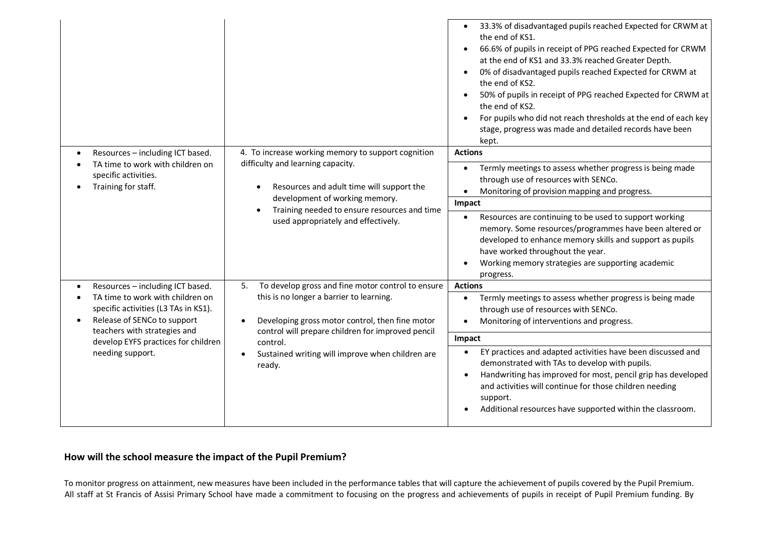|                                                                                                                                                                                                    |                                                                                                                                                                                                                                                                                                                        | 33.3% of disadvantaged pupils reached Expected for CRWM at<br>$\bullet$<br>the end of KS1.<br>66.6% of pupils in receipt of PPG reached Expected for CRWM<br>$\bullet$<br>at the end of KS1 and 33.3% reached Greater Depth.<br>0% of disadvantaged pupils reached Expected for CRWM at<br>$\bullet$<br>the end of KS2.<br>50% of pupils in receipt of PPG reached Expected for CRWM at<br>the end of KS2.<br>For pupils who did not reach thresholds at the end of each key<br>stage, progress was made and detailed records have been<br>kept. |
|----------------------------------------------------------------------------------------------------------------------------------------------------------------------------------------------------|------------------------------------------------------------------------------------------------------------------------------------------------------------------------------------------------------------------------------------------------------------------------------------------------------------------------|--------------------------------------------------------------------------------------------------------------------------------------------------------------------------------------------------------------------------------------------------------------------------------------------------------------------------------------------------------------------------------------------------------------------------------------------------------------------------------------------------------------------------------------------------|
| Resources - including ICT based.                                                                                                                                                                   | 4. To increase working memory to support cognition<br>difficulty and learning capacity.<br>TA time to work with children on<br>specific activities.<br>Training for staff.<br>Resources and adult time will support the<br>$\bullet$<br>development of working memory.<br>Training needed to ensure resources and time | <b>Actions</b>                                                                                                                                                                                                                                                                                                                                                                                                                                                                                                                                   |
| $\bullet$                                                                                                                                                                                          |                                                                                                                                                                                                                                                                                                                        | Termly meetings to assess whether progress is being made<br>$\bullet$<br>through use of resources with SENCo.<br>Monitoring of provision mapping and progress.<br>$\bullet$                                                                                                                                                                                                                                                                                                                                                                      |
|                                                                                                                                                                                                    |                                                                                                                                                                                                                                                                                                                        | Impact                                                                                                                                                                                                                                                                                                                                                                                                                                                                                                                                           |
|                                                                                                                                                                                                    | used appropriately and effectively.                                                                                                                                                                                                                                                                                    | Resources are continuing to be used to support working<br>$\bullet$<br>memory. Some resources/programmes have been altered or<br>developed to enhance memory skills and support as pupils<br>have worked throughout the year.<br>Working memory strategies are supporting academic<br>$\bullet$<br>progress.                                                                                                                                                                                                                                     |
| Resources - including ICT based.                                                                                                                                                                   | To develop gross and fine motor control to ensure<br>5.                                                                                                                                                                                                                                                                | <b>Actions</b>                                                                                                                                                                                                                                                                                                                                                                                                                                                                                                                                   |
| TA time to work with children on<br>specific activities (L3 TAs in KS1).<br>Release of SENCo to support<br>teachers with strategies and<br>develop EYFS practices for children<br>needing support. | this is no longer a barrier to learning.<br>Developing gross motor control, then fine motor<br>control will prepare children for improved pencil<br>control.<br>Sustained writing will improve when children are<br>ready.                                                                                             | Termly meetings to assess whether progress is being made<br>$\bullet$<br>through use of resources with SENCo.<br>Monitoring of interventions and progress.                                                                                                                                                                                                                                                                                                                                                                                       |
|                                                                                                                                                                                                    |                                                                                                                                                                                                                                                                                                                        | Impact                                                                                                                                                                                                                                                                                                                                                                                                                                                                                                                                           |
|                                                                                                                                                                                                    |                                                                                                                                                                                                                                                                                                                        | EY practices and adapted activities have been discussed and<br>$\bullet$<br>demonstrated with TAs to develop with pupils.<br>Handwriting has improved for most, pencil grip has developed<br>$\bullet$<br>and activities will continue for those children needing<br>support.<br>Additional resources have supported within the classroom.                                                                                                                                                                                                       |

## **How will the school measure the impact of the Pupil Premium?**

To monitor progress on attainment, new measures have been included in the performance tables that will capture the achievement of pupils covered by the Pupil Premium. All staff at St Francis of Assisi Primary School have made a commitment to focusing on the progress and achievements of pupils in receipt of Pupil Premium funding. By